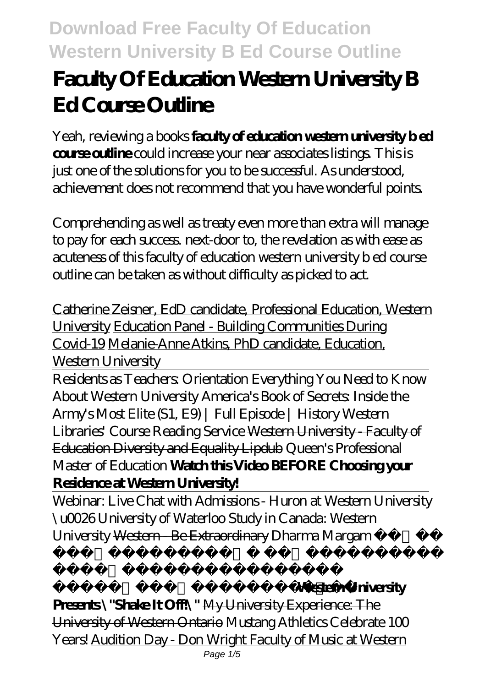# **Faculty Of Education Western University B Ed Course Outline**

Yeah, reviewing a books **faculty of education western university b ed course outline** could increase your near associates listings. This is just one of the solutions for you to be successful. As understood, achievement does not recommend that you have wonderful points.

Comprehending as well as treaty even more than extra will manage to pay for each success. next-door to, the revelation as with ease as acuteness of this faculty of education western university b ed course outline can be taken as without difficulty as picked to act.

Catherine Zeisner, EdD candidate, Professional Education, Western University Education Panel - Building Communities During Covid-19 Melanie-Anne Atkins, PhD candidate, Education, Western University

Residents as Teachers: Orientation Everything You Need to Know About Western University America's Book of Secrets: Inside the Army's Most Elite (S1, E9) | Full Episode | History Western Libraries' Course Reading Service Western University - Faculty of Education Diversity and Equality Lipdub *Queen's Professional Master of Education* **Watch this Video BEFORE Choosing your Residence at Western University!**

Webinar: Live Chat with Admissions - Huron at Western University \u0026 University of Waterloo Study in Canada: Western University <del>Western - Be Extraordinary</del> *Dharma Margam* 

#### *వక్రీకరించిందెవరు?* **Western University**

**Presents \"Shake It Off!\"** My University Experience: The University of Western Ontario Mustang Athletics Celebrate 100 Years! Audition Day - Don Wright Faculty of Music at Western

*మార్గం సనాతన ధర్మాన్నీ,*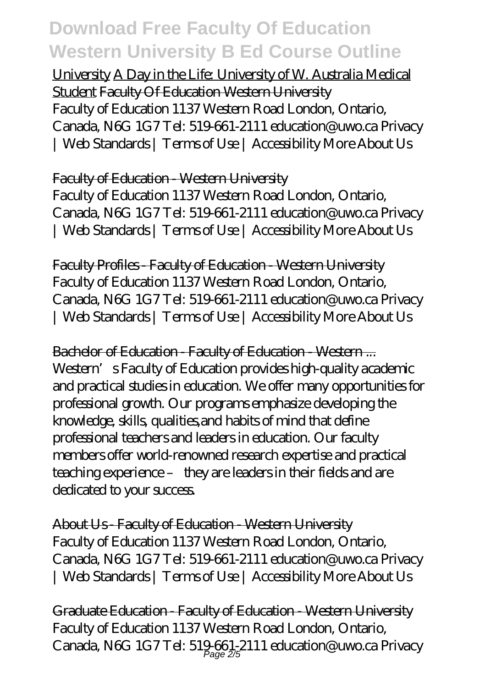University A Day in the Life: University of W. Australia Medical Student Faculty Of Education Western University Faculty of Education 1137 Western Road London, Ontario, Canada, N6G 1G7 Tel: 519-661-2111 education@uwo.ca Privacy | Web Standards | Terms of Use | Accessibility More About Us

#### Faculty of Education - Western University

Faculty of Education 1137 Western Road London, Ontario, Canada, N6G 1G7 Tel: 519-661-2111 education@uwo.ca Privacy | Web Standards | Terms of Use | Accessibility More About Us

Faculty Profiles - Faculty of Education - Western University Faculty of Education 1137 Western Road London, Ontario, Canada, N6G 1G7 Tel: 519-661-2111 education@uwo.ca Privacy | Web Standards | Terms of Use | Accessibility More About Us

Bachelor of Education - Faculty of Education - Western ... Western's Faculty of Education provides high-quality academic and practical studies in education. We offer many opportunities for professional growth. Our programs emphasize developing the knowledge, skills, qualities,and habits of mind that define professional teachers and leaders in education. Our faculty members offer world-renowned research expertise and practical teaching experience – they are leaders in their fields and are dedicated to your success.

About Us - Faculty of Education - Western University Faculty of Education 1137 Western Road London, Ontario, Canada, N6G 1G7 Tel: 519-661-2111 education@uwo.ca Privacy | Web Standards | Terms of Use | Accessibility More About Us

Graduate Education - Faculty of Education - Western University Faculty of Education 1137 Western Road London, Ontario, Canada, N6G 1G7Tel: 519.661-2111 education@uwo.ca Privacy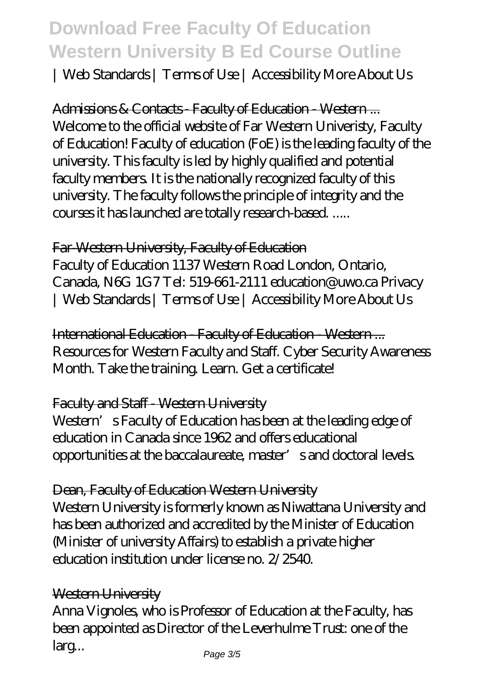| Web Standards | Terms of Use | Accessibility More About Us

Admissions & Contacts Faculty of Education - Western... Welcome to the official website of Far Western Univeristy, Faculty of Education! Faculty of education (FoE) is the leading faculty of the university. This faculty is led by highly qualified and potential faculty members. It is the nationally recognized faculty of this university. The faculty follows the principle of integrity and the courses it has launched are totally research-based. .....

#### Far-Western University, Faculty of Education

Faculty of Education 1137 Western Road London, Ontario, Canada, N6G 1G7 Tel: 519-661-2111 education@uwo.ca Privacy | Web Standards | Terms of Use | Accessibility More About Us

International Education - Faculty of Education - Western ... Resources for Western Faculty and Staff. Cyber Security Awareness Month. Take the training. Learn. Get a certificate!

#### Faculty and Staff - Western University

Western's Faculty of Education has been at the leading edge of education in Canada since 1962 and offers educational opportunities at the baccalaureate, master's and doctoral levels.

#### Dean, Faculty of Education Western University

Western University is formerly known as Niwattana University and has been authorized and accredited by the Minister of Education (Minister of university Affairs) to establish a private higher education institution under license no. 2/2540.

#### Western University

Anna Vignoles, who is Professor of Education at the Faculty, has been appointed as Director of the Leverhulme Trust: one of the larg...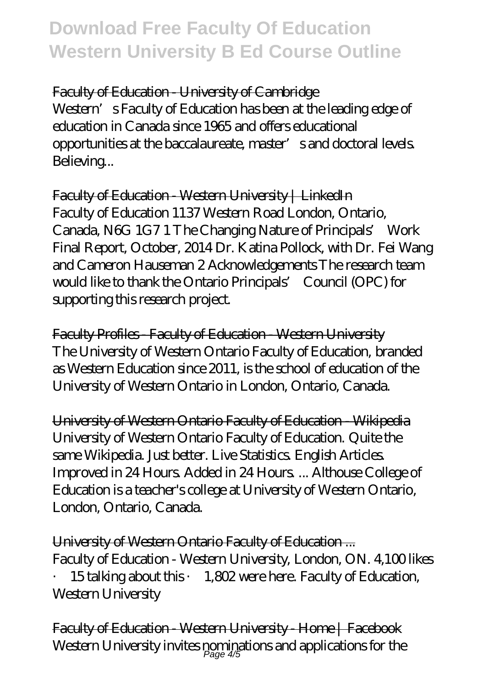Faculty of Education - University of Cambridge Western's Faculty of Education has been at the leading edge of education in Canada since 1965 and offers educational opportunities at the baccalaureate, master's and doctoral levels. Believing...

Faculty of Education - Western University | LinkedIn Faculty of Education 1137 Western Road London, Ontario, Canada, N6G 1G7 1 The Changing Nature of Principals' Work Final Report, October, 2014 Dr. Katina Pollock, with Dr. Fei Wang and Cameron Hauseman 2 Acknowledgements The research team would like to thank the Ontario Principals' Council (OPC) for supporting this research project.

Faculty Profiles - Faculty of Education - Western University The University of Western Ontario Faculty of Education, branded as Western Education since 2011, is the school of education of the University of Western Ontario in London, Ontario, Canada.

University of Western Ontario Faculty of Education - Wikipedia University of Western Ontario Faculty of Education. Quite the same Wikipedia. Just better. Live Statistics. English Articles. Improved in 24 Hours. Added in 24 Hours. ... Althouse College of Education is a teacher's college at University of Western Ontario, London, Ontario, Canada.

University of Western Ontario Faculty of Education ... Faculty of Education - Western University, London, ON. 4,100 likes · 15 talking about this · 1,802 were here. Faculty of Education, Western University

Faculty of Education - Western University - Home | Facebook Western University invites pominations and applications for the  $\rho_{\text{age}}$